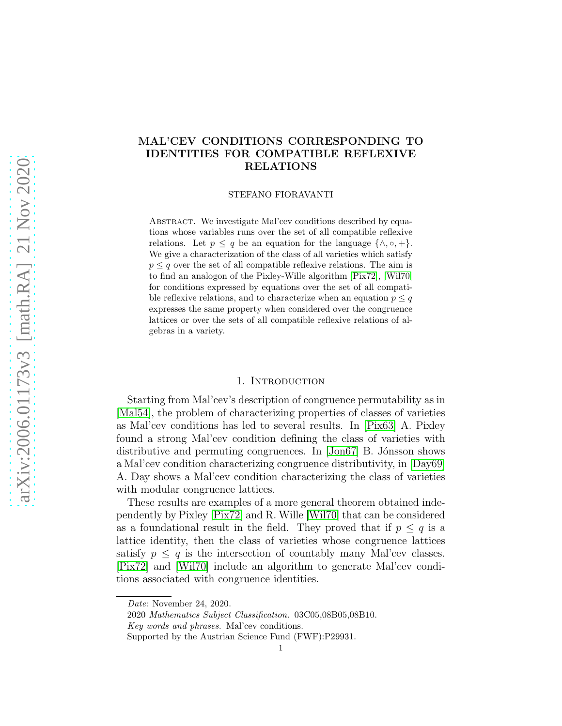# arXiv:2006.01173v3 [math.RA] 21 Nov 2020 [arXiv:2006.01173v3 \[math.RA\] 21 Nov 2020](http://arxiv.org/abs/2006.01173v3)

# MAL'CEV CONDITIONS CORRESPONDING TO IDENTITIES FOR COMPATIBLE REFLEXIVE RELATIONS

STEFANO FIORAVANTI

ABSTRACT. We investigate Mal'cev conditions described by equations whose variables runs over the set of all compatible reflexive relations. Let  $p \leq q$  be an equation for the language  $\{\wedge, \circ, +\}.$ We give a characterization of the class of all varieties which satisfy  $p \leq q$  over the set of all compatible reflexive relations. The aim is to find an analogon of the Pixley-Wille algorithm [\[Pix72\]](#page-11-0), [\[Wil70\]](#page-11-1) for conditions expressed by equations over the set of all compatible reflexive relations, and to characterize when an equation  $p \leq q$ expresses the same property when considered over the congruence lattices or over the sets of all compatible reflexive relations of algebras in a variety.

# 1. INTRODUCTION

Starting from Mal'cev's description of congruence permutability as in [\[Mal54\]](#page-11-2), the problem of characterizing properties of classes of varieties as Mal'cev conditions has led to several results. In [\[Pix63\]](#page-11-3) A. Pixley found a strong Mal'cev condition defining the class of varieties with distributive and permuting congruences. In [\[Jon67\]](#page-11-4) B. Jónsson shows a Mal'cev condition characterizing congruence distributivity, in [\[Day69\]](#page-11-5) A. Day shows a Mal'cev condition characterizing the class of varieties with modular congruence lattices.

These results are examples of a more general theorem obtained independently by Pixley [\[Pix72\]](#page-11-0) and R. Wille [\[Wil70\]](#page-11-1) that can be considered as a foundational result in the field. They proved that if  $p \leq q$  is a lattice identity, then the class of varieties whose congruence lattices satisfy  $p \leq q$  is the intersection of countably many Mal'cev classes. [\[Pix72\]](#page-11-0) and [\[Wil70\]](#page-11-1) include an algorithm to generate Mal'cev conditions associated with congruence identities.

Date: November 24, 2020.

<sup>2020</sup> Mathematics Subject Classification. 03C05,08B05,08B10.

Key words and phrases. Mal'cev conditions.

Supported by the Austrian Science Fund (FWF):P29931.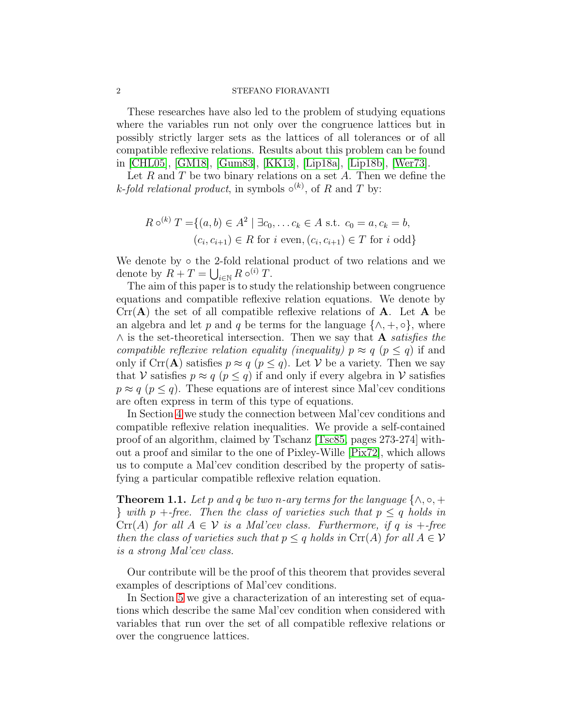These researches have also led to the problem of studying equations where the variables run not only over the congruence lattices but in possibly strictly larger sets as the lattices of all tolerances or of all compatible reflexive relations. Results about this problem can be found in [\[CHL05\]](#page-11-6), [\[GM18\]](#page-11-7), [\[Gum83\]](#page-11-8), [\[KK13\]](#page-11-9), [\[Lip18a\]](#page-11-10), [\[Lip18b\]](#page-11-11), [\[Wer73\]](#page-11-12).

Let  $R$  and  $T$  be two binary relations on a set  $A$ . Then we define the k-fold relational product, in symbols  $\circ^{(k)}$ , of R and T by:

$$
R \circ^{(k)} T = \{(a, b) \in A^2 \mid \exists c_0, \dots c_k \in A \text{ s.t. } c_0 = a, c_k = b, (c_i, c_{i+1}) \in R \text{ for } i \text{ even}, (c_i, c_{i+1}) \in T \text{ for } i \text{ odd}\}
$$

We denote by  $\circ$  the 2-fold relational product of two relations and we denote by  $R + T = \bigcup_{i \in \mathbb{N}} R \circ^{(i)} T$ .

The aim of this paper is to study the relationship between congruence equations and compatible reflexive relation equations. We denote by  $Crr(A)$  the set of all compatible reflexive relations of A. Let A be an algebra and let p and q be terms for the language  $\{\wedge, +, \circ\}$ , where  $\wedge$  is the set-theoretical intersection. Then we say that **A** satisfies the compatible reflexive relation equality (inequality)  $p \approx q$  ( $p \leq q$ ) if and only if  $\text{Crr}(A)$  satisfies  $p \approx q \ (p \leq q)$ . Let V be a variety. Then we say that V satisfies  $p \approx q \ (p \leq q)$  if and only if every algebra in V satisfies  $p \approx q \ (p \leq q)$ . These equations are of interest since Mal'cev conditions are often express in term of this type of equations.

In Section [4](#page-4-0) we study the connection between Mal'cev conditions and compatible reflexive relation inequalities. We provide a self-contained proof of an algorithm, claimed by Tschanz [\[Tsc85,](#page-11-13) pages 273-274] without a proof and similar to the one of Pixley-Wille [\[Pix72\]](#page-11-0), which allows us to compute a Mal'cev condition described by the property of satisfying a particular compatible reflexive relation equation.

<span id="page-1-0"></span>**Theorem 1.1.** Let p and q be two n-ary terms for the language  $\{\wedge, \circ, +\}$ } with p +-free. Then the class of varieties such that  $p \leq q$  holds in  $Cr(A)$  for all  $A \in V$  is a Mal'cev class. Furthermore, if q is +-free then the class of varieties such that  $p \leq q$  holds in  $\mathrm{Cr}(A)$  for all  $A \in \mathcal{V}$ is a strong Mal'cev class.

Our contribute will be the proof of this theorem that provides several examples of descriptions of Mal'cev conditions.

In Section [5](#page-8-0) we give a characterization of an interesting set of equations which describe the same Mal'cev condition when considered with variables that run over the set of all compatible reflexive relations or over the congruence lattices.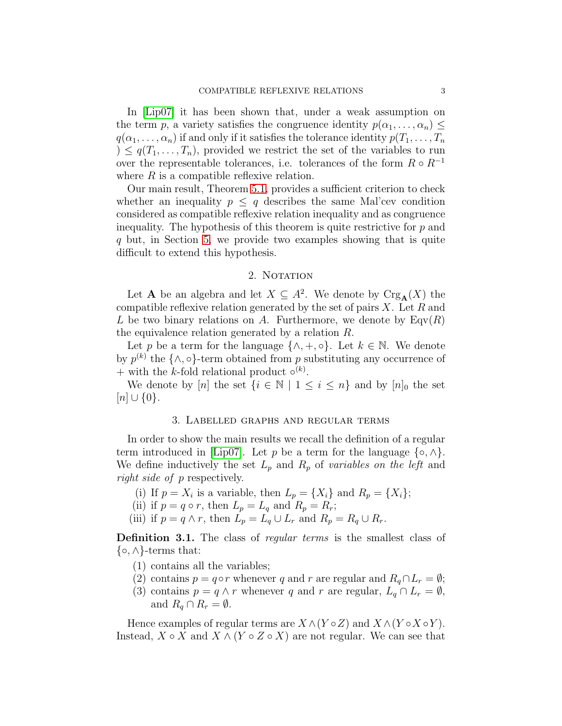In [\[Lip07\]](#page-11-14) it has been shown that, under a weak assumption on the term p, a variety satisfies the congruence identity  $p(\alpha_1, \ldots, \alpha_n) \leq$  $q(\alpha_1, \ldots, \alpha_n)$  if and only if it satisfies the tolerance identity  $p(T_1, \ldots, T_n)$  $0 \leq q(T_1, \ldots, T_n)$ , provided we restrict the set of the variables to run over the representable tolerances, i.e. tolerances of the form  $R \circ R^{-1}$ where  $R$  is a compatible reflexive relation.

Our main result, Theorem [5.1,](#page-8-1) provides a sufficient criterion to check whether an inequality  $p \leq q$  describes the same Mal'cev condition considered as compatible reflexive relation inequality and as congruence inequality. The hypothesis of this theorem is quite restrictive for  $p$  and q but, in Section [5,](#page-8-0) we provide two examples showing that is quite difficult to extend this hypothesis.

## 2. NOTATION

<span id="page-2-0"></span>Let **A** be an algebra and let  $X \subseteq A^2$ . We denote by  $Crg_A(X)$  the compatible reflexive relation generated by the set of pairs  $X$ . Let  $R$  and L be two binary relations on A. Furthermore, we denote by  $\text{Eqv}(R)$ the equivalence relation generated by a relation R.

Let p be a term for the language  $\{\wedge, +, \circ\}$ . Let  $k \in \mathbb{N}$ . We denote by  $p^{(k)}$  the  $\{\wedge, \circ\}$ -term obtained from p substituting any occurrence of + with the k-fold relational product  $\circ^{(k)}$ .

<span id="page-2-1"></span>We denote by [n] the set  $\{i \in \mathbb{N} \mid 1 \leq i \leq n\}$  and by  $[n]_0$  the set  $[n] \cup \{0\}.$ 

# 3. Labelled graphs and regular terms

In order to show the main results we recall the definition of a regular term introduced in [\[Lip07\]](#page-11-14). Let p be a term for the language  $\{\circ, \land\}$ . We define inductively the set  $L_p$  and  $R_p$  of variables on the left and right side of p respectively.

(i) If 
$$
p = X_i
$$
 is a variable, then  $L_p = \{X_i\}$  and  $R_p = \{X_i\}$ ;

- (ii) if  $p = q \circ r$ , then  $L_p = L_q$  and  $R_p = R_r$ ;
- (iii) if  $p = q \wedge r$ , then  $L_p = L_q \cup L_r$  and  $R_p = R_q \cup R_r$ .

Definition 3.1. The class of *regular terms* is the smallest class of  $\{\circ, \wedge\}$ -terms that:

- (1) contains all the variables;
- (2) contains  $p = q \circ r$  whenever q and r are regular and  $R_q \cap L_r = \emptyset$ ;
- (3) contains  $p = q \wedge r$  whenever q and r are regular,  $L_q \cap L_r = \emptyset$ , and  $R_q \cap R_r = \emptyset$ .

Hence examples of regular terms are  $X \wedge (Y \circ Z)$  and  $X \wedge (Y \circ X \circ Y)$ . Instead,  $X \circ X$  and  $X \wedge (Y \circ Z \circ X)$  are not regular. We can see that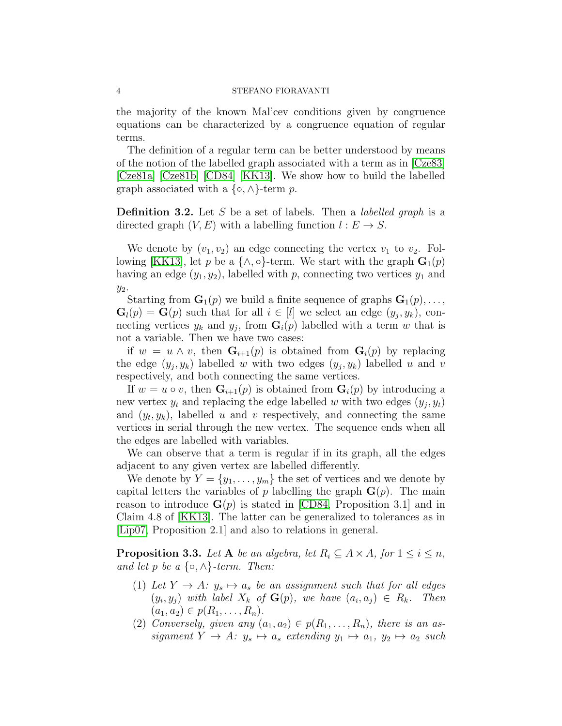the majority of the known Mal'cev conditions given by congruence equations can be characterized by a congruence equation of regular terms.

The definition of a regular term can be better understood by means of the notion of the labelled graph associated with a term as in [\[Cze83\]](#page-11-15) [\[Cze81a\]](#page-11-16) [\[Cze81b\]](#page-11-17) [\[CD84\]](#page-10-0) [\[KK13\]](#page-11-9). We show how to build the labelled graph associated with a  $\{\circ, \wedge\}$ -term p.

**Definition 3.2.** Let S be a set of labels. Then a *labelled graph* is a directed graph  $(V, E)$  with a labelling function  $l : E \to S$ .

We denote by  $(v_1, v_2)$  an edge connecting the vertex  $v_1$  to  $v_2$ . Fol-lowing [\[KK13\]](#page-11-9), let p be a  $\{\wedge, \circ\}$ -term. We start with the graph  $\mathbf{G}_1(p)$ having an edge  $(y_1, y_2)$ , labelled with p, connecting two vertices  $y_1$  and  $y_2$ .

Starting from  $\mathbf{G}_1(p)$  we build a finite sequence of graphs  $\mathbf{G}_1(p), \ldots$ ,  $\mathbf{G}_l(p) = \mathbf{G}(p)$  such that for all  $i \in [l]$  we select an edge  $(y_j, y_k)$ , connecting vertices  $y_k$  and  $y_j$ , from  $\mathbf{G}_i(p)$  labelled with a term w that is not a variable. Then we have two cases:

if  $w = u \wedge v$ , then  $\mathbf{G}_{i+1}(p)$  is obtained from  $\mathbf{G}_i(p)$  by replacing the edge  $(y_j, y_k)$  labelled w with two edges  $(y_j, y_k)$  labelled u and v respectively, and both connecting the same vertices.

If  $w = u \circ v$ , then  $\mathbf{G}_{i+1}(p)$  is obtained from  $\mathbf{G}_i(p)$  by introducing a new vertex  $y_t$  and replacing the edge labelled w with two edges  $(y_j, y_t)$ and  $(y_t, y_k)$ , labelled u and v respectively, and connecting the same vertices in serial through the new vertex. The sequence ends when all the edges are labelled with variables.

We can observe that a term is regular if in its graph, all the edges adjacent to any given vertex are labelled differently.

We denote by  $Y = \{y_1, \ldots, y_m\}$  the set of vertices and we denote by capital letters the variables of p labelling the graph  $\mathbf{G}(p)$ . The main reason to introduce  $\mathbf{G}(p)$  is stated in [\[CD84,](#page-10-0) Proposition 3.1] and in Claim 4.8 of [\[KK13\]](#page-11-9). The latter can be generalized to tolerances as in [\[Lip07,](#page-11-14) Proposition 2.1] and also to relations in general.

<span id="page-3-0"></span>**Proposition 3.3.** Let A be an algebra, let  $R_i \subseteq A \times A$ , for  $1 \leq i \leq n$ , and let p be a  $\{\circ, \land\}$ -term. Then:

- (1) Let  $Y \to A: y_s \mapsto a_s$  be an assignment such that for all edges  $(y_i, y_j)$  with label  $X_k$  of  $\mathbf{G}(p)$ , we have  $(a_i, a_j) \in R_k$ . Then  $(a_1, a_2) \in p(R_1, \ldots, R_n).$
- (2) Conversely, given any  $(a_1, a_2) \in p(R_1, \ldots, R_n)$ , there is an assignment  $Y \to A: y_s \mapsto a_s$  extending  $y_1 \mapsto a_1, y_2 \mapsto a_2$  such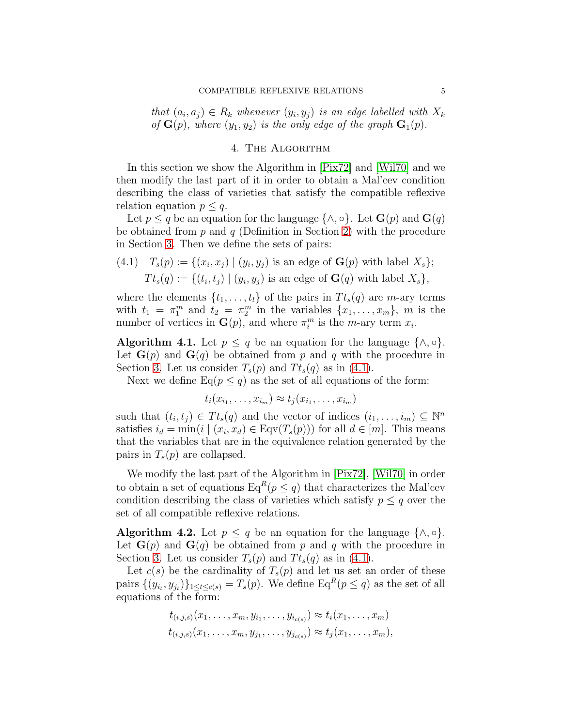that  $(a_i, a_j) \in R_k$  whenever  $(y_i, y_j)$  is an edge labelled with  $X_k$ of  $\mathbf{G}(p)$ , where  $(y_1, y_2)$  is the only edge of the graph  $\mathbf{G}_1(p)$ .

# 4. The Algorithm

<span id="page-4-0"></span>In this section we show the Algorithm in [\[Pix72\]](#page-11-0) and [\[Wil70\]](#page-11-1) and we then modify the last part of it in order to obtain a Mal'cev condition describing the class of varieties that satisfy the compatible reflexive relation equation  $p \leq q$ .

Let  $p \leq q$  be an equation for the language  $\{\wedge, \circ\}$ . Let  $\mathbf{G}(p)$  and  $\mathbf{G}(q)$ be obtained from  $p$  and  $q$  (Definition in Section [2\)](#page-2-0) with the procedure in Section [3.](#page-2-1) Then we define the sets of pairs:

<span id="page-4-1"></span>(4.1) 
$$
T_s(p) := \{(x_i, x_j) \mid (y_i, y_j) \text{ is an edge of } \mathbf{G}(p) \text{ with label } X_s \};
$$
\n $Tt_s(q) := \{(t_i, t_j) \mid (y_i, y_j) \text{ is an edge of } \mathbf{G}(q) \text{ with label } X_s \},$ 

where the elements  $\{t_1, \ldots, t_l\}$  of the pairs in  $T t_s(q)$  are *m*-ary terms with  $t_1 = \pi_1^m$  and  $t_2 = \pi_2^m$  in the variables  $\{x_1, \ldots, x_m\}$ , m is the number of vertices in  $\mathbf{G}(p)$ , and where  $\pi_i^m$  is the *m*-ary term  $x_i$ .

<span id="page-4-3"></span>Algorithm 4.1. Let  $p \leq q$  be an equation for the language  $\{\wedge, \circ\}.$ Let  $\mathbf{G}(p)$  and  $\mathbf{G}(q)$  be obtained from p and q with the procedure in Section [3.](#page-2-1) Let us consider  $T_s(p)$  and  $T_{s}(q)$  as in [\(4.1\)](#page-4-1).

Next we define  $Eq(p \leq q)$  as the set of all equations of the form:

$$
t_i(x_{i_1},\ldots,x_{i_m}) \approx t_j(x_{i_1},\ldots,x_{i_m})
$$

such that  $(t_i, t_j) \in T t_s(q)$  and the vector of indices  $(i_1, \ldots, i_m) \subseteq \mathbb{N}^n$ satisfies  $i_d = \min(i \mid (x_i, x_d) \in \text{Eqv}(T_s(p)))$  for all  $d \in [m]$ . This means that the variables that are in the equivalence relation generated by the pairs in  $T_s(p)$  are collapsed.

We modify the last part of the Algorithm in [\[Pix72\]](#page-11-0), [\[Wil70\]](#page-11-1) in order to obtain a set of equations  $Eq^{R}(p \leq q)$  that characterizes the Mal'cev condition describing the class of varieties which satisfy  $p \leq q$  over the set of all compatible reflexive relations.

<span id="page-4-2"></span>Algorithm 4.2. Let  $p \leq q$  be an equation for the language  $\{\wedge, \circ\}.$ Let  $\mathbf{G}(p)$  and  $\mathbf{G}(q)$  be obtained from p and q with the procedure in Section [3.](#page-2-1) Let us consider  $T_s(p)$  and  $T_{s}(q)$  as in [\(4.1\)](#page-4-1).

Let  $c(s)$  be the cardinality of  $T_s(p)$  and let us set an order of these pairs  $\{(y_{i_t}, y_{j_t})\}_{1 \leq t \leq c(s)} = T_s(p)$ . We define  $\text{Eq}^R(p \leq q)$  as the set of all equations of the form:

$$
t_{(i,j,s)}(x_1,\ldots,x_m,y_{i_1},\ldots,y_{i_{c(s)}}) \approx t_i(x_1,\ldots,x_m)
$$
  

$$
t_{(i,j,s)}(x_1,\ldots,x_m,y_{j_1},\ldots,y_{j_{c(s)}}) \approx t_j(x_1,\ldots,x_m),
$$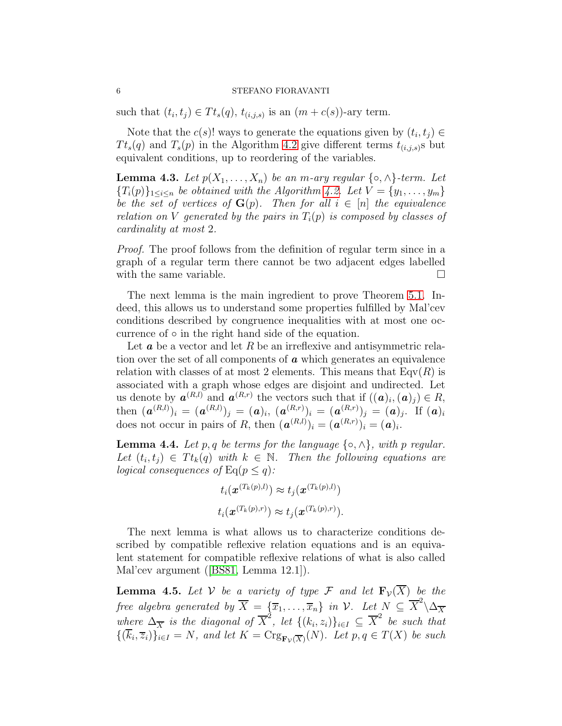such that  $(t_i, t_j) \in T t_s(q)$ ,  $t_{(i,j,s)}$  is an  $(m + c(s))$ -ary term.

Note that the  $c(s)!$  ways to generate the equations given by  $(t_i, t_j) \in$  $T t<sub>s</sub>(q)$  and  $T<sub>s</sub>(p)$  in the Algorithm [4.2](#page-4-2) give different terms  $t<sub>(i,j,s)</sub>$ s but equivalent conditions, up to reordering of the variables.

**Lemma 4.3.** Let  $p(X_1, \ldots, X_n)$  be an m-ary regular  $\{\circ, \land\}$ -term. Let  ${T_i(p)}_{1 \leq i \leq n}$  be obtained with the Algorithm [4.2.](#page-4-2) Let  $V = {y_1, \ldots, y_m}$ be the set of vertices of  $\mathbf{G}(p)$ . Then for all  $i \in [n]$  the equivalence relation on V generated by the pairs in  $T_i(p)$  is composed by classes of cardinality at most 2.

Proof. The proof follows from the definition of regular term since in a graph of a regular term there cannot be two adjacent edges labelled with the same variable.  $\Box$ 

The next lemma is the main ingredient to prove Theorem [5.1.](#page-8-1) Indeed, this allows us to understand some properties fulfilled by Mal'cev conditions described by congruence inequalities with at most one occurrence of ◦ in the right hand side of the equation.

Let  $\boldsymbol{a}$  be a vector and let  $R$  be an irreflexive and antisymmetric relation over the set of all components of  $\boldsymbol{a}$  which generates an equivalence relation with classes of at most 2 elements. This means that  $\text{Eqv}(R)$  is associated with a graph whose edges are disjoint and undirected. Let us denote by  $a^{(R,l)}$  and  $a^{(R,r)}$  the vectors such that if  $((a)_i,(a)_j) \in R$ , then  $(\bm{a}^{(R,l)})_i = (\bm{a}^{(R,l)})_j = (\bm{a})_i, \ (\bm{a}^{(R,r)})_i = (\bm{a}^{(R,r)})_j = (\bm{a})_j.$  If  $(\bm{a})_i$ does not occur in pairs of R, then  $(\boldsymbol{a}^{(R,l)})_i = (\boldsymbol{a}^{(R,r)})_i = (\boldsymbol{a})_i$ .

<span id="page-5-1"></span>**Lemma 4.4.** Let p, q be terms for the language  $\{\circ, \wedge\}$ , with p regular. Let  $(t_i, t_j) \in T t_k(q)$  with  $k \in \mathbb{N}$ . Then the following equations are logical consequences of  $\text{Eq}(p \leq q)$ :

$$
t_i(\boldsymbol{x}^{(T_k(p),l)}) \approx t_j(\boldsymbol{x}^{(T_k(p),l)})
$$
  

$$
t_i(\boldsymbol{x}^{(T_k(p),r)}) \approx t_j(\boldsymbol{x}^{(T_k(p),r)}).
$$

The next lemma is what allows us to characterize conditions described by compatible reflexive relation equations and is an equivalent statement for compatible reflexive relations of what is also called Mal'cev argument ([\[BS81,](#page-10-1) Lemma 12.1]).

<span id="page-5-0"></span>**Lemma 4.5.** Let V be a variety of type F and let  $\mathbf{F}_v(\overline{X})$  be the free algebra generated by  $\overline{X} = \{\overline{x}_1, \ldots, \overline{x}_n\}$  in  $\mathcal{V}$ . Let  $N \subseteq \overline{X}^2 \backslash \Delta_{\overline{X}}$ where  $\Delta_{\overline{X}}$  is the diagonal of  $\overline{X}^2$ , let  $\{(k_i, z_i)\}_{i \in I} \subseteq \overline{X}^2$  be such that  $\{(k_i, \overline{z}_i)\}_{i\in I} = N$ , and let  $K = \text{Crg}_{\mathbf{F}_{\mathcal{V}}(\overline{X})}(N)$ . Let  $p, q \in T(X)$  be such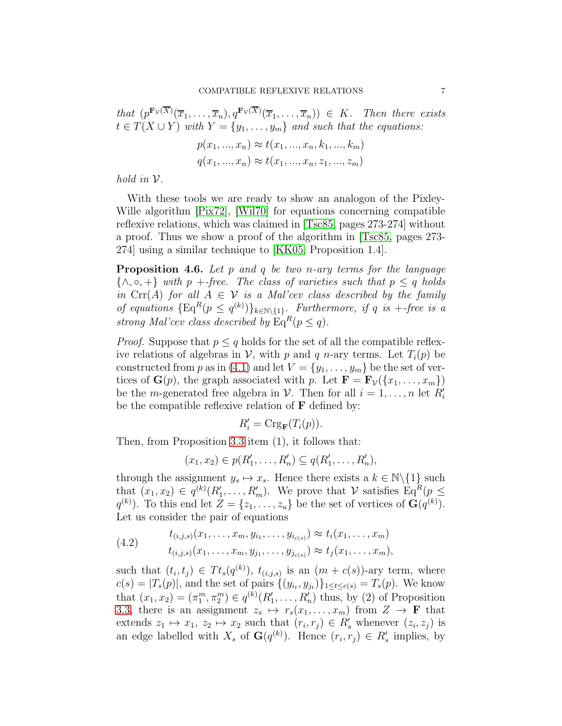that  $(p^{\mathbf{F}_{\mathcal{V}}(\overline{X})}(\overline{x}_1,\ldots,\overline{x}_n),q^{\mathbf{F}_{\mathcal{V}}(\overline{X})}(\overline{x}_1,\ldots,\overline{x}_n)) \in K$ . Then there exists  $t \in T(X \cup Y)$  with  $Y = \{y_1, \ldots, y_m\}$  and such that the equations:

$$
p(x_1, ..., x_n) \approx t(x_1, ..., x_n, k_1, ..., k_m)
$$
  

$$
q(x_1, ..., x_n) \approx t(x_1, ..., x_n, z_1, ..., z_m)
$$

hold in  $\mathcal V$ .

With these tools we are ready to show an analogon of the Pixley-Wille algorithm [\[Pix72\]](#page-11-0), [\[Wil70\]](#page-11-1) for equations concerning compatible reflexive relations, which was claimed in [\[Tsc85,](#page-11-13) pages 273-274] without a proof. Thus we show a proof of the algorithm in [\[Tsc85,](#page-11-13) pages 273- 274] using a similar technique to [\[KK05,](#page-11-18) Proposition 1.4].

<span id="page-6-1"></span>**Proposition 4.6.** Let  $p$  and  $q$  be two n-ary terms for the language  $\{\wedge, \circ, +\}$  with p +-free. The class of varieties such that  $p \leq q$  holds in  $\text{Cr}(A)$  for all  $A \in \mathcal{V}$  is a Mal'cev class described by the family of equations  $\{\mathrm{Eq}^{R}(p \leq q^{(k)})\}_{k \in \mathbb{N}\setminus\{1\}}$ . Furthermore, if q is +-free is a strong Mal'cev class described by  $\text{Eq}^R(p \leq q)$ .

*Proof.* Suppose that  $p \leq q$  holds for the set of all the compatible reflexive relations of algebras in V, with p and q n-ary terms. Let  $T_i(p)$  be constructed from p as in [\(4.1\)](#page-4-1) and let  $V = \{y_1, \ldots, y_m\}$  be the set of vertices of  $\mathbf{G}(p)$ , the graph associated with p. Let  $\mathbf{F} = \mathbf{F}_{\mathcal{V}}(\{x_1, \ldots, x_m\})$ be the *m*-generated free algebra in  $V$ . Then for all  $i = 1, ..., n$  let  $R'_i$ be the compatible reflexive relation of  $\bf{F}$  defined by:

$$
R_i' = \mathrm{Crg}_{\mathbf{F}}(T_i(p)).
$$

Then, from Proposition [3.3](#page-3-0) item (1), it follows that:

$$
(x_1, x_2) \in p(R'_1, \ldots, R'_n) \subseteq q(R'_1, \ldots, R'_n),
$$

through the assignment  $y_s \mapsto x_s$ . Hence there exists a  $k \in \mathbb{N}\backslash\{1\}$  such that  $(x_1, x_2) \in q^{(k)}(R'_1, \ldots, R'_m)$ . We prove that V satisfies  $\text{Eq}^R(p \leq$  $q^{(k)}$ ). To this end let  $Z = \{z_1, \ldots, z_u\}$  be the set of vertices of  $\mathbf{G}(q^{(k)})$ . Let us consider the pair of equations

<span id="page-6-0"></span>(4.2) 
$$
t_{(i,j,s)}(x_1,\ldots,x_m,y_{i_1},\ldots,y_{i_{c(s)}}) \approx t_i(x_1,\ldots,x_m) t_{(i,j,s)}(x_1,\ldots,x_m,y_{j_1},\ldots,y_{j_{c(s)}}) \approx t_j(x_1,\ldots,x_m),
$$

such that  $(t_i, t_j) \in T t_s(q^{(k)})$ ,  $t_{(i,j,s)}$  is an  $(m + c(s))$ -ary term, where  $c(s) = |T_s(p)|$ , and the set of pairs  $\{(y_{i_t}, y_{j_t})\}_{1 \leq t \leq c(s)} = T_s(p)$ . We know that  $(x_1, x_2) = (\pi_1^m, \pi_2^m) \in q^{(k)}(R'_1, \ldots, R'_n)$  thus, by (2) of Proposition [3.3,](#page-3-0) there is an assignment  $z_s \mapsto r_s(x_1, \ldots, x_m)$  from  $Z \to \mathbf{F}$  that extends  $z_1 \mapsto x_1, z_2 \mapsto x_2$  such that  $(r_i, r_j) \in R'_s$  whenever  $(z_i, z_j)$  is an edge labelled with  $X_s$  of  $\mathbf{G}(q^{(k)})$ . Hence  $(r_i, r_j) \in R'_s$  implies, by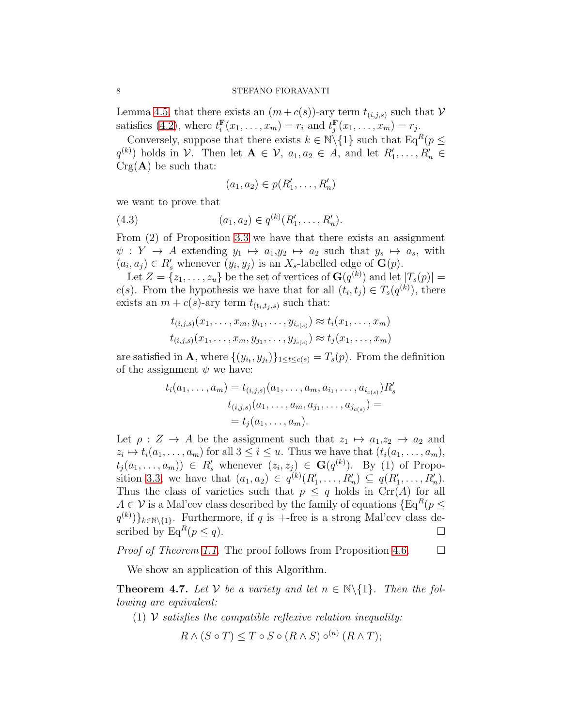Lemma [4.5,](#page-5-0) that there exists an  $(m + c(s))$ -ary term  $t_{(i,j,s)}$  such that  $\mathcal V$ satisfies [\(4.2\)](#page-6-0), where  $t_i^{\text{F}}$  $f_i^{\mathbf{F}}(x_1,\ldots,x_m)=r_i$  and  $t_j^{\mathbf{F}}$  $f_j^{\mathbf{F}}(x_1,\ldots,x_m)=r_j.$ 

Conversely, suppose that there exists  $k \in \mathbb{N} \setminus \{1\}$  such that  $\text{Eq}^R(p \leq$  $q^{(k)}$ ) holds in  $V$ . Then let  $\mathbf{A} \in V$ ,  $a_1, a_2 \in A$ , and let  $R'_1, \ldots, R'_n \in$  $Crg(A)$  be such that:

$$
(a_1, a_2) \in p(R'_1, \ldots, R'_n)
$$

we want to prove that

(4.3) 
$$
(a_1, a_2) \in q^{(k)}(R'_1, \ldots, R'_n).
$$

From (2) of Proposition [3.3](#page-3-0) we have that there exists an assignment  $\psi: Y \to A$  extending  $y_1 \mapsto a_1, y_2 \mapsto a_2$  such that  $y_s \mapsto a_s$ , with  $(a_i, a_j) \in R'_s$  whenever  $(y_i, y_j)$  is an X<sub>s</sub>-labelled edge of  $\mathbf{G}(p)$ .

Let  $Z = \{z_1, \ldots, z_u\}$  be the set of vertices of  $\mathbf{G}(q^{(k)})$  and let  $|T_s(p)| =$  $c(s)$ . From the hypothesis we have that for all  $(t_i, t_j) \in T_s(q^{(k)})$ , there exists an  $m + c(s)$ -ary term  $t_{(t_i,t_i,s)}$  such that:

$$
t_{(i,j,s)}(x_1,\ldots,x_m,y_{i_1},\ldots,y_{i_{c(s)}}) \approx t_i(x_1,\ldots,x_m)
$$
  

$$
t_{(i,j,s)}(x_1,\ldots,x_m,y_{j_1},\ldots,y_{j_{c(s)}}) \approx t_j(x_1,\ldots,x_m)
$$

are satisfied in **A**, where  $\{(y_{i_t}, y_{j_t})\}_{1 \leq t \leq c(s)} = T_s(p)$ . From the definition of the assignment  $\psi$  we have:

$$
t_i(a_1, \ldots, a_m) = t_{(i,j,s)}(a_1, \ldots, a_m, a_{i_1}, \ldots, a_{i_{c(s)}})R'_s
$$
  

$$
t_{(i,j,s)}(a_1, \ldots, a_m, a_{j_1}, \ldots, a_{j_{c(s)}}) =
$$
  

$$
= t_j(a_1, \ldots, a_m).
$$

Let  $\rho: Z \to A$  be the assignment such that  $z_1 \mapsto a_1, z_2 \mapsto a_2$  and  $z_i \mapsto t_i(a_1, \ldots, a_m)$  for all  $3 \leq i \leq u$ . Thus we have that  $(t_i(a_1, \ldots, a_m))$ ,  $t_j(a_1,\ldots,a_m)) \in R'_s$  whenever  $(z_i,z_j) \in \mathbf{G}(q^{(k)})$ . By (1) of Propo-sition [3.3,](#page-3-0) we have that  $(a_1, a_2) \in q^{(k)}(R'_1, ..., R'_n) \subseteq q(R'_1, ..., R'_n)$ . Thus the class of varieties such that  $p \leq q$  holds in  $\text{Cr}(A)$  for all  $A \in \mathcal{V}$  is a Mal'cev class described by the family of equations  $\{Eq^R(p \leq \mathcal{V})\}$  $(q^{(k)})\}_{k\in\mathbb{N}\setminus\{1\}}$ . Furthermore, if q is +-free is a strong Mal'cev class described by  $\operatorname{Eq}^R(p \leq q)$ .

*Proof of Theorem [1.1.](#page-1-0)* The proof follows from Proposition [4.6.](#page-6-1)  $\Box$ 

We show an application of this Algorithm.

**Theorem 4.7.** Let V be a variety and let  $n \in \mathbb{N}\setminus\{1\}$ . Then the following are equivalent:

(1)  $\mathcal V$  satisfies the compatible reflexive relation inequality:

$$
R \wedge (S \circ T) \leq T \circ S \circ (R \wedge S) \circ^{(n)} (R \wedge T);
$$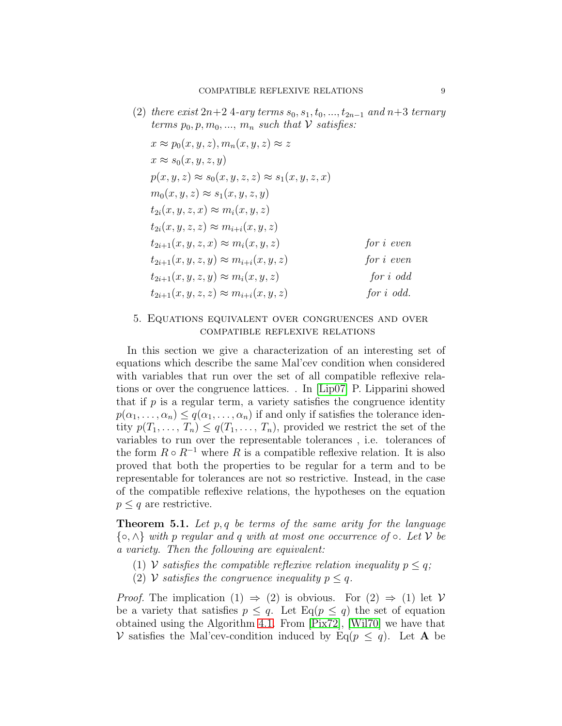(2) there exist  $2n+2$  4-ary terms  $s_0, s_1, t_0, ..., t_{2n-1}$  and  $n+3$  ternary terms  $p_0, p, m_0, ..., m_n$  such that V satisfies:

$$
x \approx p_0(x, y, z), m_n(x, y, z) \approx z
$$
  
\n
$$
x \approx s_0(x, y, z, y)
$$
  
\n
$$
p(x, y, z) \approx s_0(x, y, z, z) \approx s_1(x, y, z, x)
$$
  
\n
$$
m_0(x, y, z) \approx s_1(x, y, z, y)
$$
  
\n
$$
t_{2i}(x, y, z, x) \approx m_i(x, y, z)
$$
  
\n
$$
t_{2i}(x, y, z, z) \approx m_{i+i}(x, y, z)
$$
  
\n
$$
t_{2i+1}(x, y, z, x) \approx m_i(x, y, z)
$$
  
\nfor  $i$  even  
\n
$$
t_{2i+1}(x, y, z, y) \approx m_{i+i}(x, y, z)
$$
  
\nfor  $i$  odd  
\n
$$
t_{2i+1}(x, y, z, z) \approx m_{i+i}(x, y, z)
$$
  
\nfor  $i$  odd  
\nfor  $i$  odd.

# <span id="page-8-0"></span>5. Equations equivalent over congruences and over compatible reflexive relations

In this section we give a characterization of an interesting set of equations which describe the same Mal'cev condition when considered with variables that run over the set of all compatible reflexive relations or over the congruence lattices. . In [\[Lip07\]](#page-11-14) P. Lipparini showed that if  $p$  is a regular term, a variety satisfies the congruence identity  $p(\alpha_1, \ldots, \alpha_n) \leq q(\alpha_1, \ldots, \alpha_n)$  if and only if satisfies the tolerance identity  $p(T_1, \ldots, T_n) \leq q(T_1, \ldots, T_n)$ , provided we restrict the set of the variables to run over the representable tolerances , i.e. tolerances of the form  $R \circ R^{-1}$  where R is a compatible reflexive relation. It is also proved that both the properties to be regular for a term and to be representable for tolerances are not so restrictive. Instead, in the case of the compatible reflexive relations, the hypotheses on the equation  $p \leq q$  are restrictive.

<span id="page-8-1"></span>**Theorem 5.1.** Let  $p, q$  be terms of the same arity for the language  $\{\circ, \wedge\}$  with p regular and q with at most one occurrence of  $\circ$ . Let V be a variety. Then the following are equivalent:

- (1) V satisfies the compatible reflexive relation inequality  $p \leq q$ ;
- (2) V satisfies the congruence inequality  $p \leq q$ .

*Proof.* The implication  $(1) \Rightarrow (2)$  is obvious. For  $(2) \Rightarrow (1)$  let V be a variety that satisfies  $p \leq q$ . Let  $\text{Eq}(p \leq q)$  the set of equation obtained using the Algorithm [4.1.](#page-4-3) From [\[Pix72\]](#page-11-0), [\[Wil70\]](#page-11-1) we have that V satisfies the Mal'cev-condition induced by Eq( $p \le q$ ). Let **A** be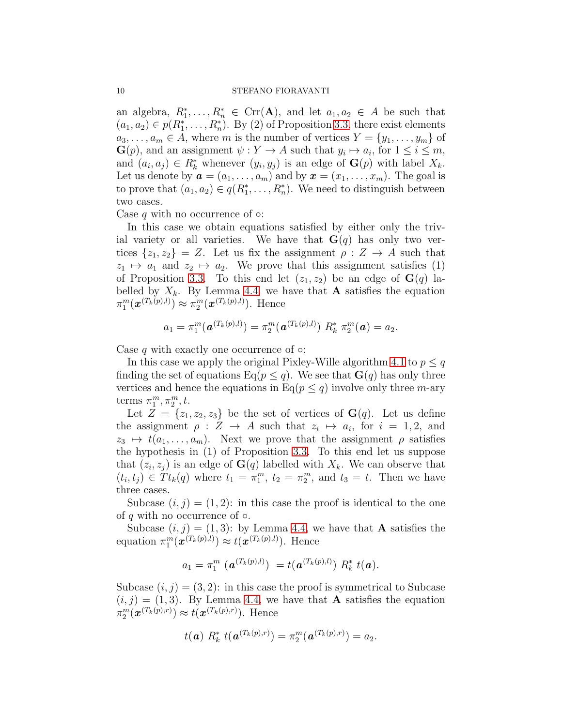an algebra,  $R_1^*, \ldots, R_n^* \in \text{Crr}(\mathbf{A})$ , and let  $a_1, a_2 \in A$  be such that  $(a_1, a_2) \in p(R_1^*, \ldots, R_n^*)$ . By (2) of Proposition [3.3,](#page-3-0) there exist elements  $a_3, \ldots, a_m \in A$ , where m is the number of vertices  $Y = \{y_1, \ldots, y_m\}$  of  $\mathbf{G}(p)$ , and an assignment  $\psi: Y \to A$  such that  $y_i \mapsto a_i$ , for  $1 \leq i \leq m$ , and  $(a_i, a_j) \in R_k^*$  whenever  $(y_i, y_j)$  is an edge of  $\mathbf{G}(p)$  with label  $X_k$ . Let us denote by  $\mathbf{a} = (a_1, \ldots, a_m)$  and by  $\mathbf{x} = (x_1, \ldots, x_m)$ . The goal is to prove that  $(a_1, a_2) \in q(R_1^*, \ldots, R_n^*)$ . We need to distinguish between two cases.

Case q with no occurrence of  $\circ$ :

In this case we obtain equations satisfied by either only the trivial variety or all varieties. We have that  $\mathbf{G}(q)$  has only two vertices  $\{z_1, z_2\} = Z$ . Let us fix the assignment  $\rho : Z \to A$  such that  $z_1 \mapsto a_1$  and  $z_2 \mapsto a_2$ . We prove that this assignment satisfies (1) of Proposition [3.3.](#page-3-0) To this end let  $(z_1, z_2)$  be an edge of  $\mathbf{G}(q)$  labelled by  $X_k$ . By Lemma [4.4,](#page-5-1) we have that **A** satisfies the equation  $\pi_1^m(\bm{x}^{(T_k(p),l)}) \approx \pi_2^m(\bm{x}^{(T_k(p),l)})$ . Hence

$$
a_1 = \pi_1^m(\boldsymbol{a}^{(T_k(p),l)}) = \pi_2^m(\boldsymbol{a}^{(T_k(p),l)}) \, R_k^* \, \pi_2^m(\boldsymbol{a}) = a_2.
$$

Case q with exactly one occurrence of  $\circ$ :

In this case we apply the original Pixley-Wille algorithm [4.1](#page-4-3) to  $p \leq q$ finding the set of equations  $\text{Eq}(p \leq q)$ . We see that  $\textbf{G}(q)$  has only three vertices and hence the equations in Eq( $p \leq q$ ) involve only three m-ary terms  $\pi_1^m, \pi_2^m, t$ .

Let  $Z = \{z_1, z_2, z_3\}$  be the set of vertices of  $\mathbf{G}(q)$ . Let us define the assignment  $\rho: Z \to A$  such that  $z_i \mapsto a_i$ , for  $i = 1, 2$ , and  $z_3 \mapsto t(a_1, \ldots, a_m)$ . Next we prove that the assignment  $\rho$  satisfies the hypothesis in (1) of Proposition [3.3.](#page-3-0) To this end let us suppose that  $(z_i, z_j)$  is an edge of  $\mathbf{G}(q)$  labelled with  $X_k$ . We can observe that  $(t_i, t_j) \in T t_k(q)$  where  $t_1 = \pi_1^m$ ,  $t_2 = \pi_2^m$ , and  $t_3 = t$ . Then we have three cases.

Subcase  $(i, j) = (1, 2)$ : in this case the proof is identical to the one of q with no occurrence of  $\circ$ .

Subcase  $(i, j) = (1, 3)$ : by Lemma [4.4,](#page-5-1) we have that **A** satisfies the equation  $\pi_1^m(\boldsymbol{x}^{(T_k(p),l)}) \approx t(\boldsymbol{x}^{(T_k(p),l)})$ . Hence

$$
a_1 = \pi_1^m \, \left( \, \mathbf{a}^{(T_k(p),l)} \right) \ = t \big( \mathbf{a}^{(T_k(p),l)} \big) \, R_k^* \, t(\mathbf{a}).
$$

Subcase  $(i, j) = (3, 2)$ : in this case the proof is symmetrical to Subcase  $(i, j) = (1, 3)$ . By Lemma [4.4,](#page-5-1) we have that **A** satisfies the equation  $\pi_2^m(\boldsymbol{x}^{(T_k(p),r)}) \approx t(\boldsymbol{x}^{(T_k(p),r)})$ . Hence

$$
t(\mathbf{a}) R_k^* t(\mathbf{a}^{(T_k(p),r)}) = \pi_2^m(\mathbf{a}^{(T_k(p),r)}) = a_2.
$$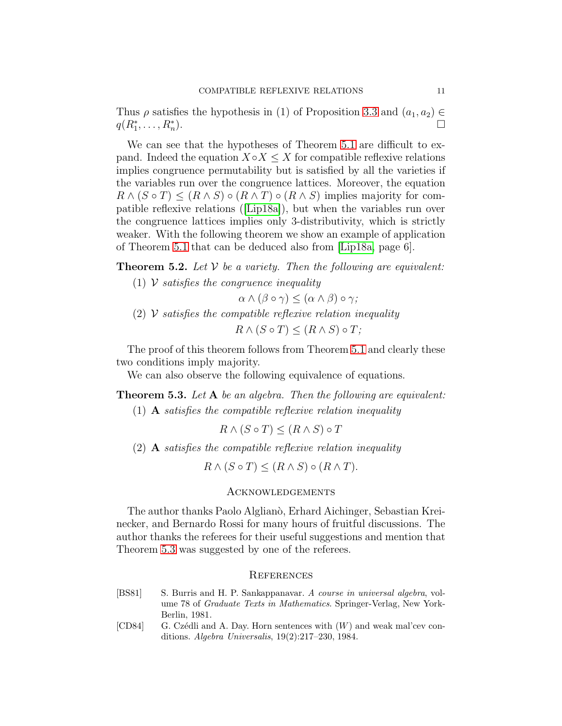Thus  $\rho$  satisfies the hypothesis in (1) of Proposition [3.3](#page-3-0) and  $(a_1, a_2) \in$  $q(R_1^*, \ldots, R_n^*)$ ).

We can see that the hypotheses of Theorem [5.1](#page-8-1) are difficult to expand. Indeed the equation  $X \circ X \leq X$  for compatible reflexive relations implies congruence permutability but is satisfied by all the varieties if the variables run over the congruence lattices. Moreover, the equation  $R \wedge (S \circ T) \leq (R \wedge S) \circ (R \wedge T) \circ (R \wedge S)$  implies majority for compatible reflexive relations ([\[Lip18a\]](#page-11-10)), but when the variables run over the congruence lattices implies only 3-distributivity, which is strictly weaker. With the following theorem we show an example of application of Theorem [5.1](#page-8-1) that can be deduced also from [\[Lip18a,](#page-11-10) page 6].

**Theorem 5.2.** Let  $V$  be a variety. Then the following are equivalent:

- (1)  $\mathcal V$  satisfies the congruence inequality
	- $\alpha \wedge (\beta \circ \gamma) \leq (\alpha \wedge \beta) \circ \gamma;$
- (2)  $\mathcal V$  satisfies the compatible reflexive relation inequality  $R \wedge (S \circ T) \leq (R \wedge S) \circ T$ ;

The proof of this theorem follows from Theorem [5.1](#page-8-1) and clearly these two conditions imply majority.

We can also observe the following equivalence of equations.

<span id="page-10-2"></span>**Theorem 5.3.** Let **A** be an algebra. Then the following are equivalent:

(1) **A** satisfies the compatible reflexive relation inequality

 $R \wedge (S \circ T) \leq (R \wedge S) \circ T$ 

(2) A satisfies the compatible reflexive relation inequality

 $R \wedge (S \circ T) \leq (R \wedge S) \circ (R \wedge T).$ 

# Acknowledgements

The author thanks Paolo Alglianò, Erhard Aichinger, Sebastian Kreinecker, and Bernardo Rossi for many hours of fruitful discussions. The author thanks the referees for their useful suggestions and mention that Theorem [5.3](#page-10-2) was suggested by one of the referees.

# **REFERENCES**

- <span id="page-10-1"></span>[BS81] S. Burris and H. P. Sankappanavar. A course in universal algebra, volume 78 of Graduate Texts in Mathematics. Springer-Verlag, New York-Berlin, 1981.
- <span id="page-10-0"></span>[CD84] G. Czédli and A. Day. Horn sentences with  $(W)$  and weak mal'cev conditions. Algebra Universalis, 19(2):217–230, 1984.